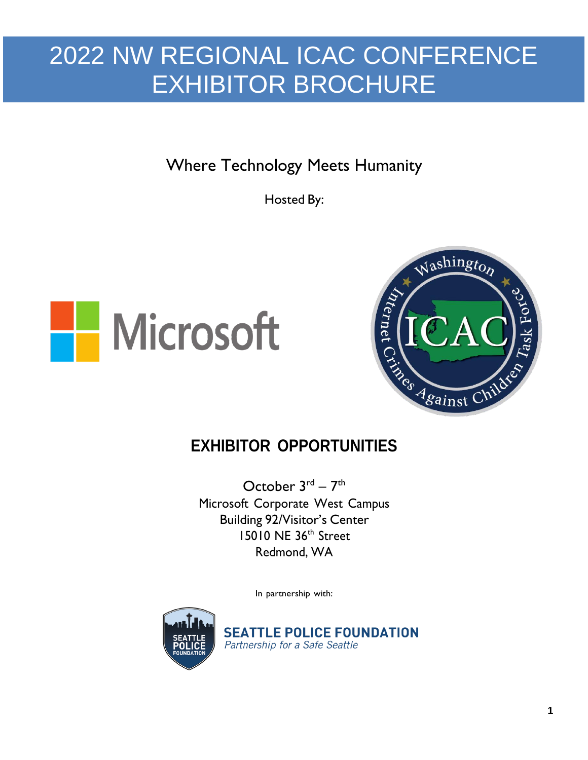Where Technology Meets Humanity

Hosted By:





## **EXHIBITOR OPPORTUNITIES**

October  $3^{\text{rd}} - 7^{\text{th}}$ Microsoft Corporate West Campus Building 92/Visitor's Center 15010 NE 36<sup>th</sup> Street Redmond, WA

In partnership with:



**SEATTLE POLICE FOUNDATION** Partnership for a Safe Seattle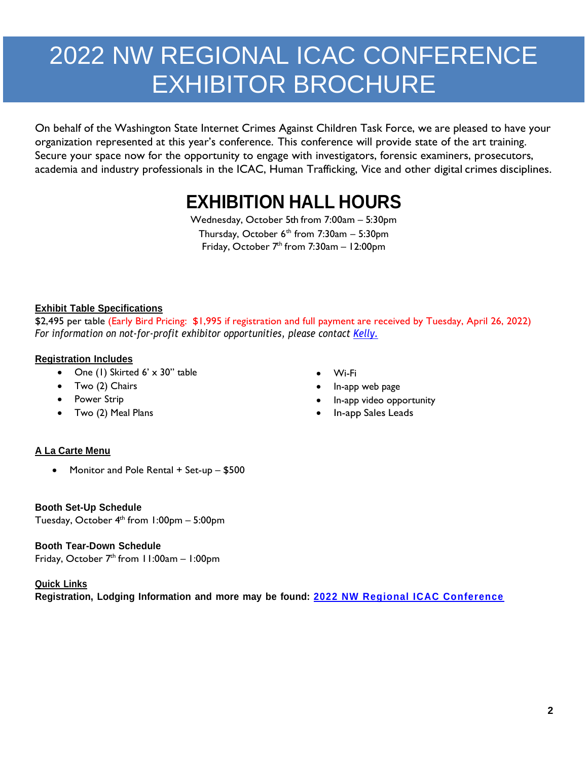On behalf of the Washington State Internet Crimes Against Children Task Force, we are pleased to have your organization represented at this year's conference. This conference will provide state of the art training. Secure your space now for the opportunity to engage with investigators, forensic examiners, prosecutors, academia and industry professionals in the ICAC, Human Trafficking, Vice and other digital crimes disciplines.

# **EXHIBITION HALL HOURS**

Wednesday, October 5th from 7:00am – 5:30pm Thursday, October 6<sup>th</sup> from 7:30am – 5:30pm Friday, October 7<sup>th</sup> from 7:30am - 12:00pm

#### **Exhibit Table Specifications**

\$2,495 per table (Early Bird Pricing: \$1,995 if registration and full payment are received by Tuesday, April 26, 2022) *For information on not-for-profit exhibitor opportunities, please contact [Kelly.](mailto:Kelly.Crouch@seattle.gov)*

#### **Registration Includes**

- One (1) Skirted 6' x 30" table
- Two (2) Chairs
- Power Strip
- Two (2) Meal Plans
- Wi-Fi
- In-app web page
- In-app video opportunity
- In-app Sales Leads

#### **A La Carte Menu**

• Monitor and Pole Rental + Set-up - \$500

#### **Booth Set-Up Schedule**

Tuesday, October 4 th from 1:00pm – 5:00pm

#### **Booth Tear-Down Schedule**

Friday, October 7<sup>th</sup> from 11:00am - 1:00pm

#### **Quick Links**

**Registration, Lodging Information and more may be found: [2022 NW Regional ICAC Conference](https://www.nwregionalicac.com/)**